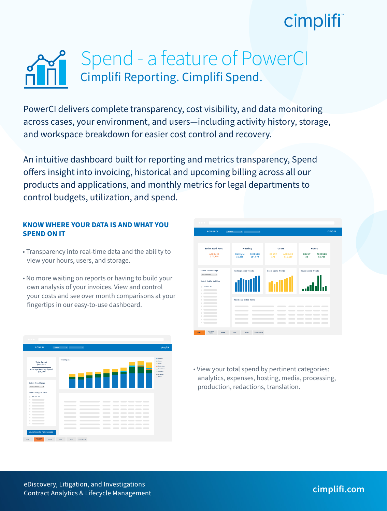## cimplifi

### Cimplifi Reporting. Cimplifi Spend. Spend - a feature of PowerCI

PowerCI delivers complete transparency, cost visibility, and data monitoring across cases, your environment, and users—including activity history, storage, and workspace breakdown for easier cost control and recovery.

An intuitive dashboard built for reporting and metrics transparency, Spend offers insight into invoicing, historical and upcoming billing across all our products and applications, and monthly metrics for legal departments to control budgets, utilization, and spend.

### **KNOW WHERE YOUR DATA IS AND WHAT YOU SPEND ON IT**

- Transparency into real-time data and the ability to view your hours, users, and storage.
- No more waiting on reports or having to build your own analysis of your invoices. View and control your costs and see over month comparisons at your fingertips in our easy-to-use dashboard.

| <b>POWERCI</b><br>Spend                   | <b>Silvers Street</b>    |   |                                              |                          |                                                                                                                                                                                                                                                                                                                                        | cimplifi                                   |
|-------------------------------------------|--------------------------|---|----------------------------------------------|--------------------------|----------------------------------------------------------------------------------------------------------------------------------------------------------------------------------------------------------------------------------------------------------------------------------------------------------------------------------------|--------------------------------------------|
|                                           | <b>Total Spend</b>       |   |                                              |                          |                                                                                                                                                                                                                                                                                                                                        | <b>O</b> Hesting<br><b>C</b> Heart         |
| <b>Total Spend</b><br>\$948,582           |                          |   |                                              |                          |                                                                                                                                                                                                                                                                                                                                        | <b>O</b> Users                             |
|                                           |                          |   |                                              |                          |                                                                                                                                                                                                                                                                                                                                        | <b>O</b> Redactions                        |
| <b>Average Monthly Spend</b><br>\$20,749  |                          |   |                                              |                          |                                                                                                                                                                                                                                                                                                                                        | <b>C</b> Translation<br><b>O</b> Analytics |
|                                           |                          |   |                                              |                          |                                                                                                                                                                                                                                                                                                                                        | <b>O</b> Expenses                          |
|                                           |                          |   |                                              |                          |                                                                                                                                                                                                                                                                                                                                        | (b) Media                                  |
| <b>Select Trend Range</b>                 |                          |   |                                              |                          |                                                                                                                                                                                                                                                                                                                                        |                                            |
| Last 11 Months<br>$\mathbf{v}$            |                          |   |                                              |                          |                                                                                                                                                                                                                                                                                                                                        |                                            |
|                                           |                          |   |                                              |                          |                                                                                                                                                                                                                                                                                                                                        |                                            |
| Select Job(s) to Filter                   |                          |   |                                              |                          |                                                                                                                                                                                                                                                                                                                                        |                                            |
| SELECT ALL                                |                          |   |                                              |                          |                                                                                                                                                                                                                                                                                                                                        |                                            |
| m                                         |                          |   |                                              |                          |                                                                                                                                                                                                                                                                                                                                        |                                            |
| m.                                        | $\sim$<br>m              |   |                                              | m.                       |                                                                                                                                                                                                                                                                                                                                        |                                            |
| and the company of the company of         | $\overline{\phantom{a}}$ |   | $\sim$ $\sim$<br>m.                          | m,                       | $\sim$ $\sim$ $\sim$ $\sim$ $\sim$                                                                                                                                                                                                                                                                                                     |                                            |
| $\sim$ $\sim$ $\sim$ $\sim$ $\sim$ $\sim$ |                          |   | $\sim$<br>m.<br>$\sim$                       | $\overline{\phantom{a}}$ | $\sim$ $\sim$ $\sim$ $\sim$                                                                                                                                                                                                                                                                                                            |                                            |
| $\sim$ $\sim$ $\sim$ $\sim$ $\sim$ $\sim$ | $\sim$                   |   | $\sim$ $\sim$<br>n.                          | $\overline{\phantom{a}}$ |                                                                                                                                                                                                                                                                                                                                        |                                            |
| $\sim$ $\sim$ $\sim$ $\sim$ $\sim$ $\sim$ | $\sim$                   | ÷ | $\sim$<br>$\sim$                             | $\sim$                   | $\sim$<br>$\sim$ $\sim$ $\sim$                                                                                                                                                                                                                                                                                                         |                                            |
|                                           | $\sim$ $\sim$            |   | $\sim$<br>m.<br>$\sim$                       | ÷                        | $\sim$<br>$\hspace{0.1cm}$ $\hspace{0.1cm}$ $\hspace{0.1cm}$ $\hspace{0.1cm}$ $\hspace{0.1cm}$ $\hspace{0.1cm}$ $\hspace{0.1cm}$ $\hspace{0.1cm}$ $\hspace{0.1cm}$ $\hspace{0.1cm}$ $\hspace{0.1cm}$ $\hspace{0.1cm}$ $\hspace{0.1cm}$ $\hspace{0.1cm}$ $\hspace{0.1cm}$ $\hspace{0.1cm}$ $\hspace{0.1cm}$ $\hspace{0.1cm}$ $\hspace{$ |                                            |
| $\sim$ $\sim$ $\sim$ $\sim$ $\sim$ $\sim$ | $\sim$ $\sim$            |   | $\sim$<br>$\overline{\phantom{a}}$<br>$\sim$ |                          |                                                                                                                                                                                                                                                                                                                                        |                                            |
|                                           |                          |   | $\sim$ $\sim$                                | _____                    |                                                                                                                                                                                                                                                                                                                                        |                                            |
| <b>SELECT MONTH FOR INVOICES</b>          |                          |   |                                              |                          |                                                                                                                                                                                                                                                                                                                                        |                                            |

| <b>POWERCI</b>                                              | Spend<br><b>The Common Street</b>                 |                                                   | cimpliff                                                   |  |  |
|-------------------------------------------------------------|---------------------------------------------------|---------------------------------------------------|------------------------------------------------------------|--|--|
|                                                             |                                                   |                                                   |                                                            |  |  |
| <b>Estimated Fees</b>                                       | Hosting                                           | <b>Users</b>                                      | Hours                                                      |  |  |
| <b>ACCRUED</b><br>\$70,460                                  | SIZE (gb)<br><b>ACCRUED</b><br>\$64,974<br>31,336 | <b>COUNT</b><br><b>ACCRUED</b><br>271<br>\$11,199 | <b>COUNT</b><br><b>ACCRUED</b><br>33<br>\$2,758            |  |  |
| <b>Select Trend Range</b><br>Last 11 Months<br>$\mathbf{r}$ | <b>Hosting Spend Trends</b>                       | <b>Users Spend Trends</b>                         | <b>Hours Spend Trends</b>                                  |  |  |
| Select Job(s) to Filter<br>SELECT ALL<br>m.                 |                                                   |                                                   |                                                            |  |  |
| ш<br>m.                                                     |                                                   |                                                   |                                                            |  |  |
| ш<br>ш<br>ш                                                 | <b>Additional Billed Items</b>                    |                                                   |                                                            |  |  |
| ш                                                           |                                                   | m                                                 | $\sim$<br>m.<br>$\sim$<br>m.                               |  |  |
| ш<br>ш                                                      | ___                                               | $\sim$<br>$\sim$                                  | $\sim$ $\sim$ $\sim$<br>$\overline{\phantom{a}}$<br>$\sim$ |  |  |
| m.<br>the control of the con-                               |                                                   | $\overline{\phantom{a}}$                          | $\sim$<br>n in                                             |  |  |
| m.                                                          | $\sim$                                            | $\sim$<br>$\overline{\phantom{a}}$                | _____                                                      |  |  |
| $\mathbf{r}$ . The contract of $\mathbf{r}$                 | and the state of the con-                         | e e c                                             | $\sim$                                                     |  |  |
|                                                             |                                                   |                                                   |                                                            |  |  |

• View your total spend by pertinent categories: analytics, expenses, hosting, media, processing, production, redactions, translation.